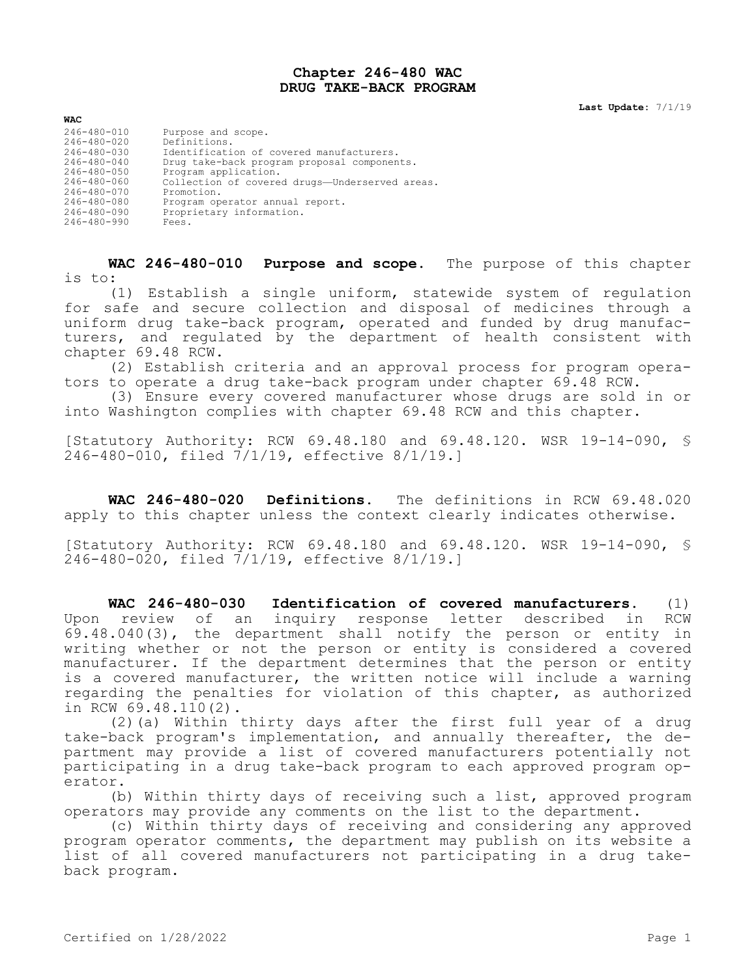## **Chapter 246-480 WAC DRUG TAKE-BACK PROGRAM**

**Last Update:** 7/1/19

| <b>WAC</b>                                                                                                                                                                                         |                                                                                                                                                                                                                                                                                               |
|----------------------------------------------------------------------------------------------------------------------------------------------------------------------------------------------------|-----------------------------------------------------------------------------------------------------------------------------------------------------------------------------------------------------------------------------------------------------------------------------------------------|
| 246-480-010<br>246-480-020<br>$246 - 480 - 030$<br>$246 - 480 - 040$<br>$246 - 480 - 050$<br>$246 - 480 - 060$<br>$246 - 480 - 070$<br>$246 - 480 - 080$<br>$246 - 480 - 090$<br>$246 - 480 - 990$ | Purpose and scope.<br>Definitions.<br>Identification of covered manufacturers.<br>Drug take-back program proposal components.<br>Program application.<br>Collection of covered drugs-Underserved areas.<br>Promotion.<br>Program operator annual report.<br>Proprietary information.<br>Fees. |
|                                                                                                                                                                                                    |                                                                                                                                                                                                                                                                                               |

**WAC 246-480-010 Purpose and scope.** The purpose of this chapter is to:

(1) Establish a single uniform, statewide system of regulation for safe and secure collection and disposal of medicines through a uniform drug take-back program, operated and funded by drug manufacturers, and regulated by the department of health consistent with chapter 69.48 RCW.

(2) Establish criteria and an approval process for program operators to operate a drug take-back program under chapter 69.48 RCW.

(3) Ensure every covered manufacturer whose drugs are sold in or into Washington complies with chapter 69.48 RCW and this chapter.

[Statutory Authority: RCW 69.48.180 and 69.48.120. WSR 19-14-090, §  $246 - 480 - 010$ , filed  $7/1/19$ , effective 8/1/19.1

**WAC 246-480-020 Definitions.** The definitions in RCW 69.48.020 apply to this chapter unless the context clearly indicates otherwise.

[Statutory Authority: RCW 69.48.180 and 69.48.120. WSR 19-14-090, § 246-480-020, filed 7/1/19, effective 8/1/19.]

**WAC 246-480-030 Identification of covered manufacturers.** (1) Upon review of an inquiry response letter described in RCW 69.48.040(3), the department shall notify the person or entity in writing whether or not the person or entity is considered a covered manufacturer. If the department determines that the person or entity is a covered manufacturer, the written notice will include a warning regarding the penalties for violation of this chapter, as authorized in RCW 69.48.110(2).

(2)(a) Within thirty days after the first full year of a drug take-back program's implementation, and annually thereafter, the department may provide a list of covered manufacturers potentially not participating in a drug take-back program to each approved program operator.

(b) Within thirty days of receiving such a list, approved program operators may provide any comments on the list to the department.

(c) Within thirty days of receiving and considering any approved program operator comments, the department may publish on its website a list of all covered manufacturers not participating in a drug takeback program.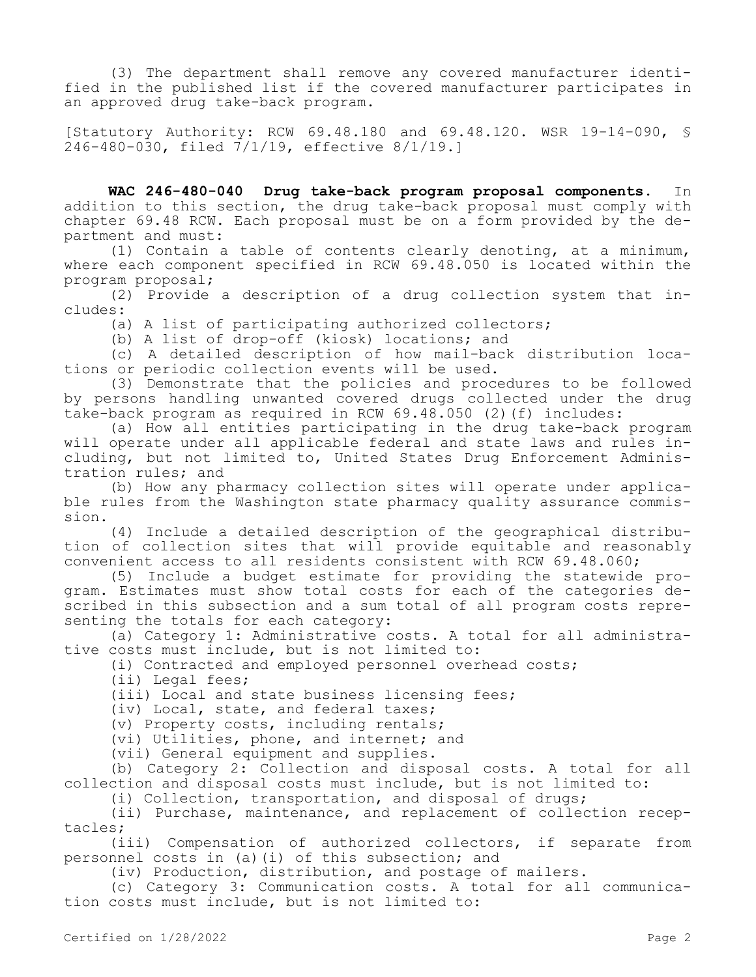(3) The department shall remove any covered manufacturer identified in the published list if the covered manufacturer participates in an approved drug take-back program.

[Statutory Authority: RCW 69.48.180 and 69.48.120. WSR 19-14-090, § 246-480-030, filed 7/1/19, effective 8/1/19.]

**WAC 246-480-040 Drug take-back program proposal components.** In addition to this section, the drug take-back proposal must comply with chapter 69.48 RCW. Each proposal must be on a form provided by the department and must:

(1) Contain a table of contents clearly denoting, at a minimum, where each component specified in RCW 69.48.050 is located within the program proposal;

(2) Provide a description of a drug collection system that includes:

(a) A list of participating authorized collectors;

(b) A list of drop-off (kiosk) locations; and

(c) A detailed description of how mail-back distribution locations or periodic collection events will be used.

(3) Demonstrate that the policies and procedures to be followed by persons handling unwanted covered drugs collected under the drug take-back program as required in RCW 69.48.050 (2)(f) includes:

(a) How all entities participating in the drug take-back program will operate under all applicable federal and state laws and rules including, but not limited to, United States Drug Enforcement Administration rules; and

(b) How any pharmacy collection sites will operate under applicable rules from the Washington state pharmacy quality assurance commission.

(4) Include a detailed description of the geographical distribution of collection sites that will provide equitable and reasonably convenient access to all residents consistent with RCW 69.48.060;

(5) Include a budget estimate for providing the statewide program. Estimates must show total costs for each of the categories described in this subsection and a sum total of all program costs representing the totals for each category:

(a) Category 1: Administrative costs. A total for all administrative costs must include, but is not limited to:

(i) Contracted and employed personnel overhead costs;

(ii) Legal fees;

(iii) Local and state business licensing fees;

(iv) Local, state, and federal taxes;

(v) Property costs, including rentals;

(vi) Utilities, phone, and internet; and

(vii) General equipment and supplies.

(b) Category 2: Collection and disposal costs. A total for all collection and disposal costs must include, but is not limited to:

(i) Collection, transportation, and disposal of drugs;

(ii) Purchase, maintenance, and replacement of collection receptacles;

(iii) Compensation of authorized collectors, if separate from personnel costs in (a)(i) of this subsection; and

(iv) Production, distribution, and postage of mailers.

(c) Category 3: Communication costs. A total for all communication costs must include, but is not limited to: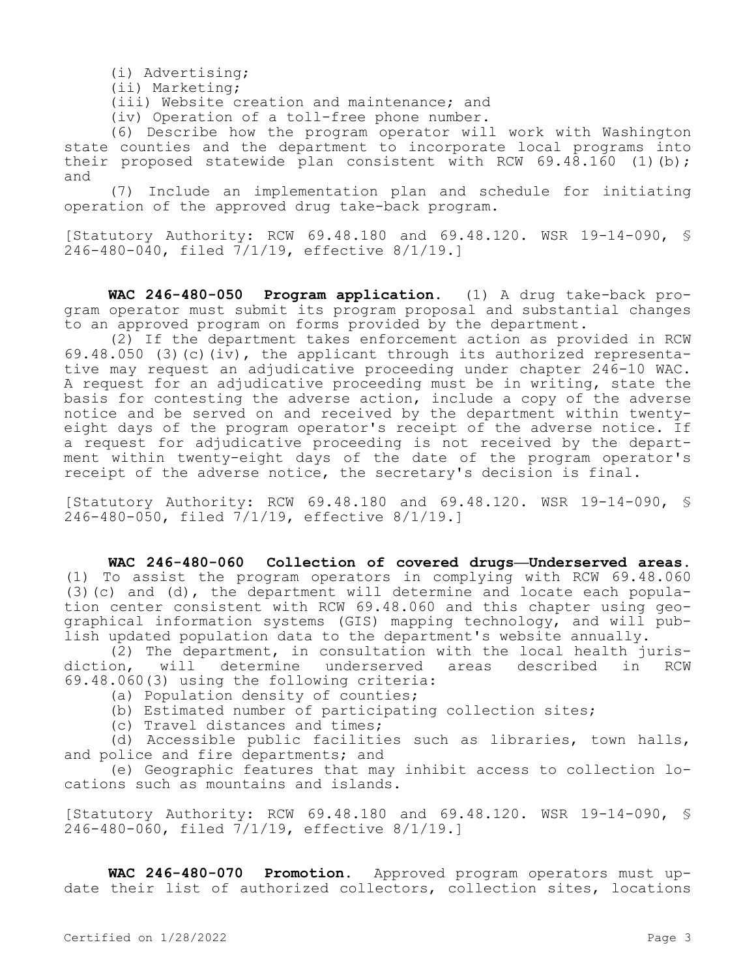(i) Advertising;

(ii) Marketing;

(iii) Website creation and maintenance; and

(iv) Operation of a toll-free phone number.

(6) Describe how the program operator will work with Washington state counties and the department to incorporate local programs into their proposed statewide plan consistent with RCW  $69.48.160$  (1)(b); and

(7) Include an implementation plan and schedule for initiating operation of the approved drug take-back program.

[Statutory Authority: RCW 69.48.180 and 69.48.120. WSR 19-14-090, § 246-480-040, filed 7/1/19, effective 8/1/19.]

**WAC 246-480-050 Program application.** (1) A drug take-back program operator must submit its program proposal and substantial changes to an approved program on forms provided by the department.

(2) If the department takes enforcement action as provided in RCW 69.48.050 (3)(c)(iv), the applicant through its authorized representative may request an adjudicative proceeding under chapter 246-10 WAC. A request for an adjudicative proceeding must be in writing, state the basis for contesting the adverse action, include a copy of the adverse notice and be served on and received by the department within twentyeight days of the program operator's receipt of the adverse notice. If a request for adjudicative proceeding is not received by the department within twenty-eight days of the date of the program operator's receipt of the adverse notice, the secretary's decision is final.

[Statutory Authority: RCW 69.48.180 and 69.48.120. WSR 19-14-090, § 246-480-050, filed 7/1/19, effective 8/1/19.]

## **WAC 246-480-060 Collection of covered drugs—Underserved areas.**  (1) To assist the program operators in complying with RCW 69.48.060 (3)(c) and (d), the department will determine and locate each population center consistent with RCW 69.48.060 and this chapter using geographical information systems (GIS) mapping technology, and will publish updated population data to the department's website annually.

(2) The department, in consultation with the local health jurisdiction, will determine underserved areas described in RCW 69.48.060(3) using the following criteria:

- (a) Population density of counties;
- (b) Estimated number of participating collection sites;
- (c) Travel distances and times;

(d) Accessible public facilities such as libraries, town halls, and police and fire departments; and

(e) Geographic features that may inhibit access to collection locations such as mountains and islands.

[Statutory Authority: RCW 69.48.180 and 69.48.120. WSR 19-14-090, § 246-480-060, filed 7/1/19, effective 8/1/19.]

**WAC 246-480-070 Promotion.** Approved program operators must update their list of authorized collectors, collection sites, locations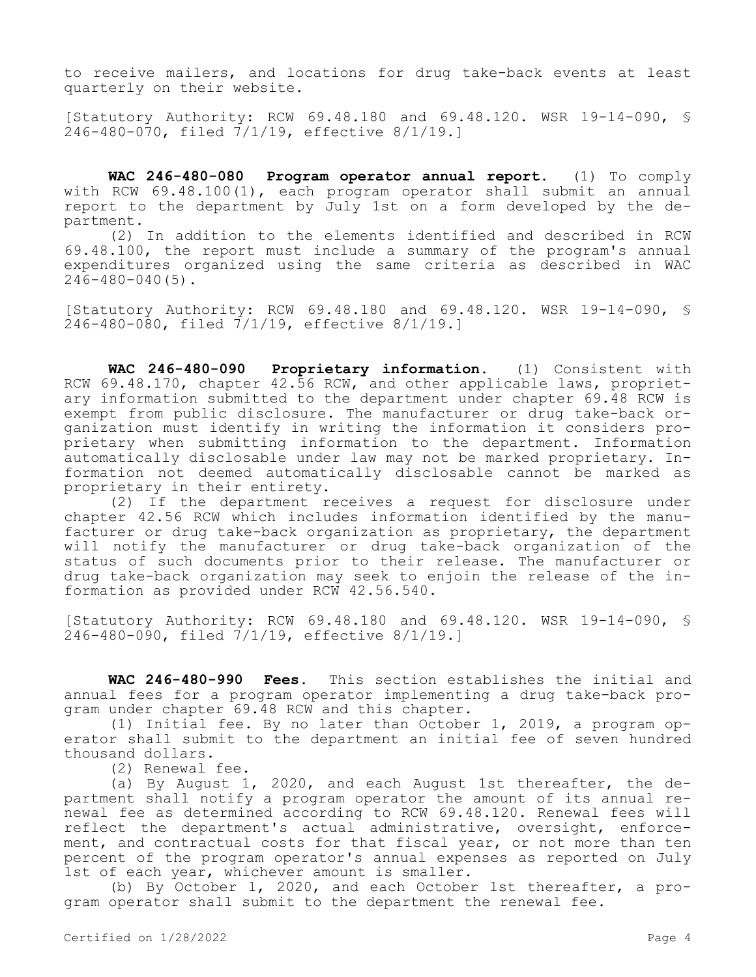to receive mailers, and locations for drug take-back events at least quarterly on their website.

[Statutory Authority: RCW 69.48.180 and 69.48.120. WSR 19-14-090, § 246-480-070, filed 7/1/19, effective 8/1/19.]

**WAC 246-480-080 Program operator annual report.** (1) To comply with RCW 69.48.100(1), each program operator shall submit an annual report to the department by July 1st on a form developed by the department.

(2) In addition to the elements identified and described in RCW 69.48.100, the report must include a summary of the program's annual expenditures organized using the same criteria as described in WAC 246-480-040(5).

[Statutory Authority: RCW 69.48.180 and 69.48.120. WSR 19-14-090, § 246-480-080, filed 7/1/19, effective 8/1/19.]

**WAC 246-480-090 Proprietary information.** (1) Consistent with RCW 69.48.170, chapter 42.56 RCW, and other applicable laws, proprietary information submitted to the department under chapter 69.48 RCW is exempt from public disclosure. The manufacturer or drug take-back organization must identify in writing the information it considers proprietary when submitting information to the department. Information automatically disclosable under law may not be marked proprietary. Information not deemed automatically disclosable cannot be marked as proprietary in their entirety.

(2) If the department receives a request for disclosure under chapter 42.56 RCW which includes information identified by the manufacturer or drug take-back organization as proprietary, the department will notify the manufacturer or drug take-back organization of the status of such documents prior to their release. The manufacturer or drug take-back organization may seek to enjoin the release of the information as provided under RCW 42.56.540.

[Statutory Authority: RCW 69.48.180 and 69.48.120. WSR 19-14-090, § 246-480-090, filed 7/1/19, effective 8/1/19.]

**WAC 246-480-990 Fees.** This section establishes the initial and annual fees for a program operator implementing a drug take-back program under chapter 69.48 RCW and this chapter.

(1) Initial fee. By no later than October 1, 2019, a program operator shall submit to the department an initial fee of seven hundred thousand dollars.

(2) Renewal fee.

(a) By August 1, 2020, and each August 1st thereafter, the department shall notify a program operator the amount of its annual renewal fee as determined according to RCW 69.48.120. Renewal fees will reflect the department's actual administrative, oversight, enforcement, and contractual costs for that fiscal year, or not more than ten percent of the program operator's annual expenses as reported on July 1st of each year, whichever amount is smaller.

(b) By October 1, 2020, and each October 1st thereafter, a program operator shall submit to the department the renewal fee.